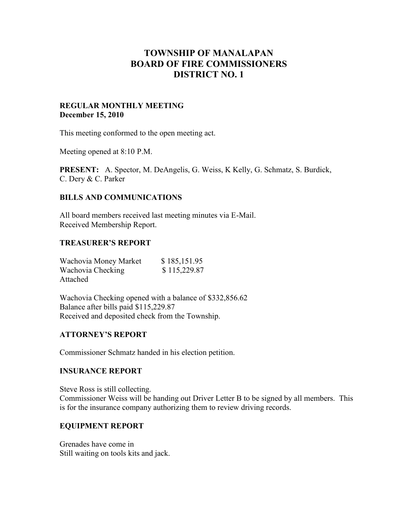# **TOWNSHIP OF MANALAPAN BOARD OF FIRE COMMISSIONERS DISTRICT NO. 1**

## **REGULAR MONTHLY MEETING December 15, 2010**

This meeting conformed to the open meeting act.

Meeting opened at 8:10 P.M.

**PRESENT:** A. Spector, M. DeAngelis, G. Weiss, K Kelly, G. Schmatz, S. Burdick, C. Dery & C. Parker

## **BILLS AND COMMUNICATIONS**

All board members received last meeting minutes via E-Mail. Received Membership Report.

### **TREASURER'S REPORT**

| Wachovia Money Market | \$185,151.95 |
|-----------------------|--------------|
| Wachovia Checking     | \$115,229.87 |
| Attached              |              |

Wachovia Checking opened with a balance of \$332,856.62 Balance after bills paid \$115,229.87 Received and deposited check from the Township.

# **ATTORNEY'S REPORT**

Commissioner Schmatz handed in his election petition.

### **INSURANCE REPORT**

Steve Ross is still collecting. Commissioner Weiss will be handing out Driver Letter B to be signed by all members. This is for the insurance company authorizing them to review driving records.

### **EQUIPMENT REPORT**

Grenades have come in Still waiting on tools kits and jack.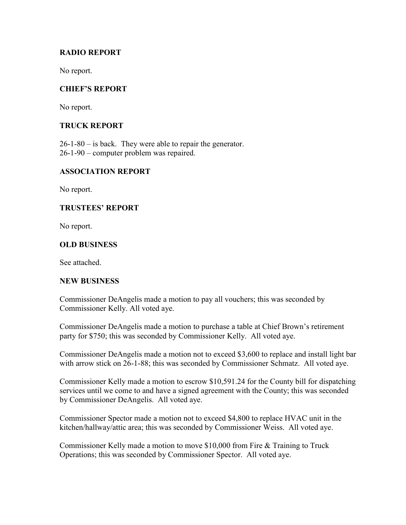# **RADIO REPORT**

No report.

## **CHIEF'S REPORT**

No report.

### **TRUCK REPORT**

26-1-80 – is back. They were able to repair the generator. 26-1-90 – computer problem was repaired.

#### **ASSOCIATION REPORT**

No report.

#### **TRUSTEES' REPORT**

No report.

### **OLD BUSINESS**

See attached.

#### **NEW BUSINESS**

Commissioner DeAngelis made a motion to pay all vouchers; this was seconded by Commissioner Kelly. All voted aye.

Commissioner DeAngelis made a motion to purchase a table at Chief Brown's retirement party for \$750; this was seconded by Commissioner Kelly. All voted aye.

Commissioner DeAngelis made a motion not to exceed \$3,600 to replace and install light bar with arrow stick on 26-1-88; this was seconded by Commissioner Schmatz. All voted aye.

Commissioner Kelly made a motion to escrow \$10,591.24 for the County bill for dispatching services until we come to and have a signed agreement with the County; this was seconded by Commissioner DeAngelis. All voted aye.

Commissioner Spector made a motion not to exceed \$4,800 to replace HVAC unit in the kitchen/hallway/attic area; this was seconded by Commissioner Weiss. All voted aye.

Commissioner Kelly made a motion to move \$10,000 from Fire & Training to Truck Operations; this was seconded by Commissioner Spector. All voted aye.